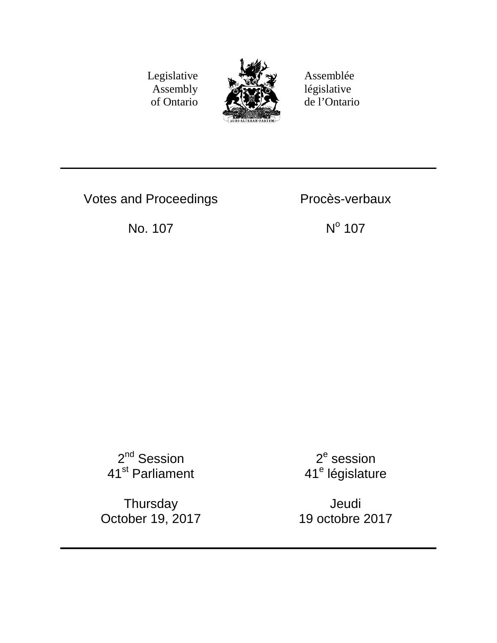Legislative Assembly of Ontario



Assemblée législative de l'Ontario

Votes and Proceedings **Proces-verbaux** 

No. 107 No. 107

2<sup>nd</sup> Session 41<sup>st</sup> Parliament

**Thursday** October 19, 2017

 $2<sup>e</sup>$  session 41<sup>e</sup> législature

Jeudi 19 octobre 2017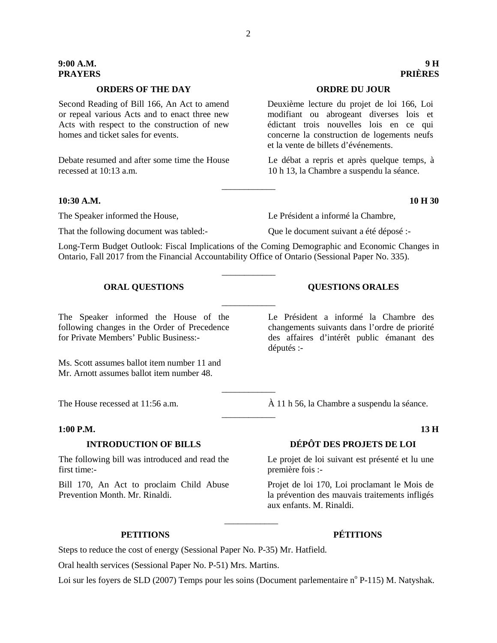# **9:00 A.M. 9 H**

# **ORDERS OF THE DAY ORDRE DU JOUR**

Second Reading of Bill 166, An Act to amend or repeal various Acts and to enact three new Acts with respect to the construction of new homes and ticket sales for events.

Debate resumed and after some time the House recessed at 10:13 a.m.

### **10:30 A.M. 10 H 30**

That the following document was tabled:- Que le document suivant a été déposé :-

The Speaker informed the House, Le Président a informé la Chambre,

Long-Term Budget Outlook: Fiscal Implications of the Coming Demographic and Economic Changes in Ontario, Fall 2017 from the Financial Accountability Office of Ontario (Sessional Paper No. 335).

\_\_\_\_\_\_\_\_\_\_\_\_

\_\_\_\_\_\_\_\_\_\_\_\_

\_\_\_\_\_\_\_\_\_\_\_\_

 $\overline{\phantom{a}}$  , where  $\overline{\phantom{a}}$ 

\_\_\_\_\_\_\_\_\_\_\_\_

### **ORAL OUESTIONS QUESTIONS ORALES**

The Speaker informed the House of the following changes in the Order of Precedence for Private Members' Public Business:-

Ms. Scott assumes ballot item number 11 and Mr. Arnott assumes ballot item number 48.

### **1:00 P.M. 13 H**

The following bill was introduced and read the first time:-

Bill 170, An Act to proclaim Child Abuse Prevention Month. Mr. Rinaldi.

Le Président a informé la Chambre des changements suivants dans l'ordre de priorité des affaires d'intérêt public émanant des députés :-

The House recessed at 11:56 a.m.  $\hat{A}$  11 h 56, la Chambre a suspendu la séance.

# **INTRODUCTION OF BILLS DÉPÔT DES PROJETS DE LOI**

Le projet de loi suivant est présenté et lu une première fois :-

Projet de loi 170, Loi proclamant le Mois de la prévention des mauvais traitements infligés aux enfants. M. Rinaldi.

# **PETITIONS PÉTITIONS**

Steps to reduce the cost of energy (Sessional Paper No. P-35) Mr. Hatfield.

Oral health services (Sessional Paper No. P-51) Mrs. Martins.

Loi sur les foyers de SLD (2007) Temps pour les soins (Document parlementaire n° P-115) M. Natyshak.

\_\_\_\_\_\_\_\_\_\_\_\_

# **PRAYERS PRIÈRES**

Deuxième lecture du projet de loi 166, Loi modifiant ou abrogeant diverses lois et édictant trois nouvelles lois en ce qui concerne la construction de logements neufs et la vente de billets d'événements.

Le débat a repris et après quelque temps, à 10 h 13, la Chambre a suspendu la séance.

2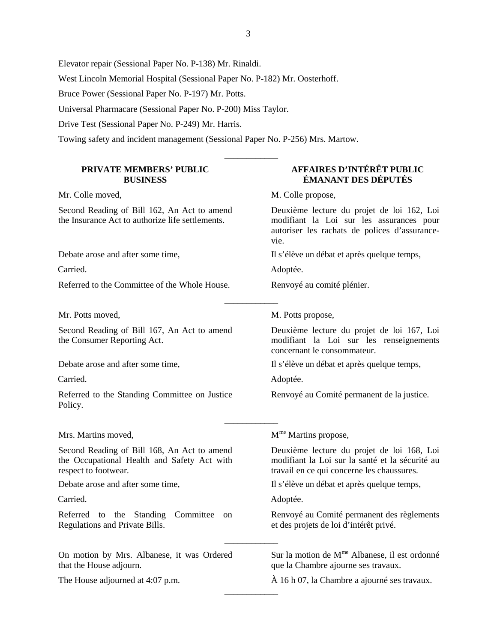\_\_\_\_\_\_\_\_\_\_\_\_

\_\_\_\_\_\_\_\_\_\_\_\_

\_\_\_\_\_\_\_\_\_\_\_\_

\_\_\_\_\_\_\_\_\_\_\_\_

\_\_\_\_\_\_\_\_\_\_\_\_

Elevator repair (Sessional Paper No. P-138) Mr. Rinaldi.

West Lincoln Memorial Hospital (Sessional Paper No. P-182) Mr. Oosterhoff.

Bruce Power (Sessional Paper No. P-197) Mr. Potts.

Universal Pharmacare (Sessional Paper No. P-200) Miss Taylor.

Drive Test (Sessional Paper No. P-249) Mr. Harris.

Towing safety and incident management (Sessional Paper No. P-256) Mrs. Martow.

### **PRIVATE MEMBERS' PUBLIC BUSINESS**

Second Reading of Bill 162, An Act to amend the Insurance Act to authorize life settlements.

Referred to the Committee of the Whole House. Renvoyé au comité plénier.

Mr. Potts moved, M. Potts propose,

Second Reading of Bill 167, An Act to amend the Consumer Reporting Act.

Referred to the Standing Committee on Justice Policy.

Second Reading of Bill 168, An Act to amend the Occupational Health and Safety Act with respect to footwear.

Referred to the Standing Committee on Regulations and Private Bills.

On motion by Mrs. Albanese, it was Ordered that the House adjourn.

## **AFFAIRES D'INTÉRÊT PUBLIC ÉMANANT DES DÉPUTÉS**

Mr. Colle moved, M. Colle propose,

Deuxième lecture du projet de loi 162, Loi modifiant la Loi sur les assurances pour autoriser les rachats de polices d'assurancevie.

Debate arose and after some time, Il s'élève un débat et après quelque temps,

Carried. Adoptée.

Deuxième lecture du projet de loi 167, Loi modifiant la Loi sur les renseignements concernant le consommateur.

Debate arose and after some time, Il s'élève un débat et après quelque temps,

Carried. Adoptée.

Renvoyé au Comité permanent de la justice.

Mrs. Martins moved,  $M^{me}$  Martins propose,

Deuxième lecture du projet de loi 168, Loi modifiant la Loi sur la santé et la sécurité au travail en ce qui concerne les chaussures.

Debate arose and after some time, Il s'élève un débat et après quelque temps,

Carried. Adoptée.

Renvoyé au Comité permanent des règlements et des projets de loi d'intérêt privé.

Sur la motion de  $M^{\text{me}}$  Albanese, il est ordonné que la Chambre ajourne ses travaux.

The House adjourned at 4:07 p.m.  $\hat{A}$  16 h 07, la Chambre a ajourné ses travaux.